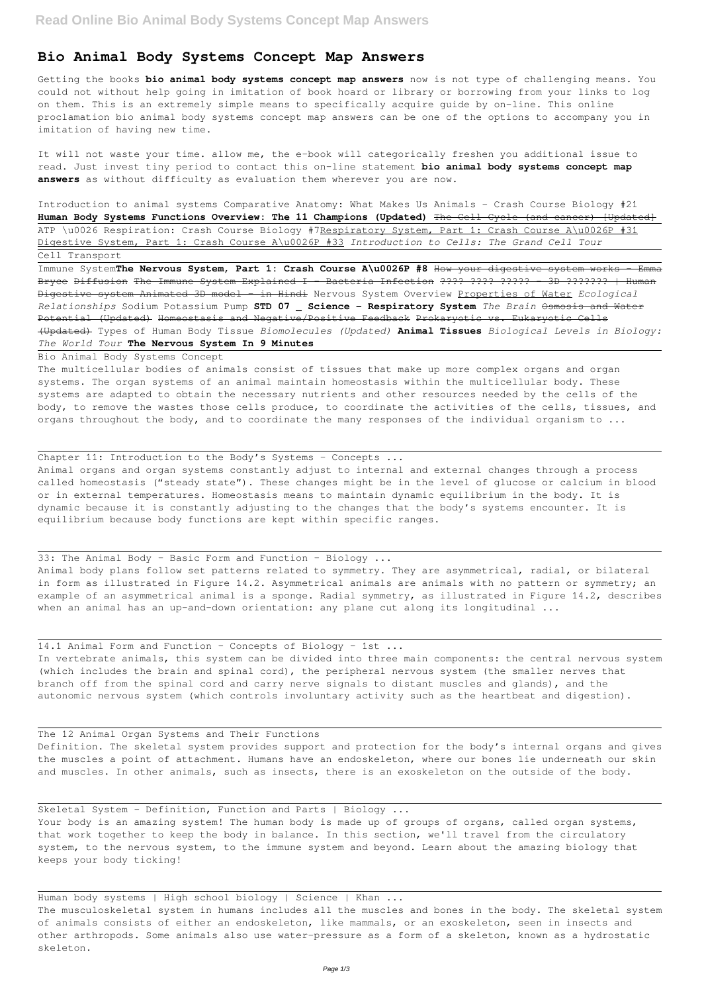## **Bio Animal Body Systems Concept Map Answers**

Getting the books **bio animal body systems concept map answers** now is not type of challenging means. You could not without help going in imitation of book hoard or library or borrowing from your links to log on them. This is an extremely simple means to specifically acquire guide by on-line. This online proclamation bio animal body systems concept map answers can be one of the options to accompany you in imitation of having new time.

It will not waste your time. allow me, the e-book will categorically freshen you additional issue to read. Just invest tiny period to contact this on-line statement **bio animal body systems concept map answers** as without difficulty as evaluation them wherever you are now.

The multicellular bodies of animals consist of tissues that make up more complex organs and organ systems. The organ systems of an animal maintain homeostasis within the multicellular body. These systems are adapted to obtain the necessary nutrients and other resources needed by the cells of the body, to remove the wastes those cells produce, to coordinate the activities of the cells, tissues, and organs throughout the body, and to coordinate the many responses of the individual organism to ...

Introduction to animal systems Comparative Anatomy: What Makes Us Animals - Crash Course Biology #21 **Human Body Systems Functions Overview: The 11 Champions (Updated)** The Cell Cycle (and cancer) [Updated] ATP \u0026 Respiration: Crash Course Biology #7Respiratory System, Part 1: Crash Course A\u0026P #31 Digestive System, Part 1: Crash Course A\u0026P #33 *Introduction to Cells: The Grand Cell Tour* Cell Transport

33: The Animal Body - Basic Form and Function - Biology ... Animal body plans follow set patterns related to symmetry. They are asymmetrical, radial, or bilateral in form as illustrated in Figure 14.2. Asymmetrical animals are animals with no pattern or symmetry; an example of an asymmetrical animal is a sponge. Radial symmetry, as illustrated in Figure 14.2, describes when an animal has an up-and-down orientation: any plane cut along its longitudinal ...

Immune System**The Nervous System, Part 1: Crash Course A\u0026P #8** How your digestive system works - Emma Bryce Diffusion The Immune System Explained I - Bacteria Infection ???? ???? ????? - 3D ??????? | Human Digestive system Animated 3D model - in Hindi Nervous System Overview Properties of Water *Ecological Relationships* Sodium Potassium Pump **STD 07 \_ Science - Respiratory System** *The Brain* Osmosis and Water Potential (Updated) Homeostasis and Negative/Positive Feedback Prokaryotic vs. Eukaryotic Cells (Updated) Types of Human Body Tissue *Biomolecules (Updated)* **Animal Tissues** *Biological Levels in Biology: The World Tour* **The Nervous System In 9 Minutes**

Bio Animal Body Systems Concept

Your body is an amazing system! The human body is made up of groups of organs, called organ systems, that work together to keep the body in balance. In this section, we'll travel from the circulatory system, to the nervous system, to the immune system and beyond. Learn about the amazing biology that keeps your body ticking!

Human body systems | High school biology | Science | Khan ...

Chapter 11: Introduction to the Body's Systems – Concepts ...

Animal organs and organ systems constantly adjust to internal and external changes through a process called homeostasis ("steady state"). These changes might be in the level of glucose or calcium in blood or in external temperatures. Homeostasis means to maintain dynamic equilibrium in the body. It is dynamic because it is constantly adjusting to the changes that the body's systems encounter. It is equilibrium because body functions are kept within specific ranges.

14.1 Animal Form and Function – Concepts of Biology – 1st ... In vertebrate animals, this system can be divided into three main components: the central nervous system (which includes the brain and spinal cord), the peripheral nervous system (the smaller nerves that branch off from the spinal cord and carry nerve signals to distant muscles and glands), and the autonomic nervous system (which controls involuntary activity such as the heartbeat and digestion).

the muscles a point of attachment. Humans have an endoskeleton, where our bones lie underneath our skin and muscles. In other animals, such as insects, there is an exoskeleton on the outside of the body.

Skeletal System - Definition, Function and Parts | Biology ...

The musculoskeletal system in humans includes all the muscles and bones in the body. The skeletal system of animals consists of either an endoskeleton, like mammals, or an exoskeleton, seen in insects and other arthropods. Some animals also use water-pressure as a form of a skeleton, known as a hydrostatic skeleton.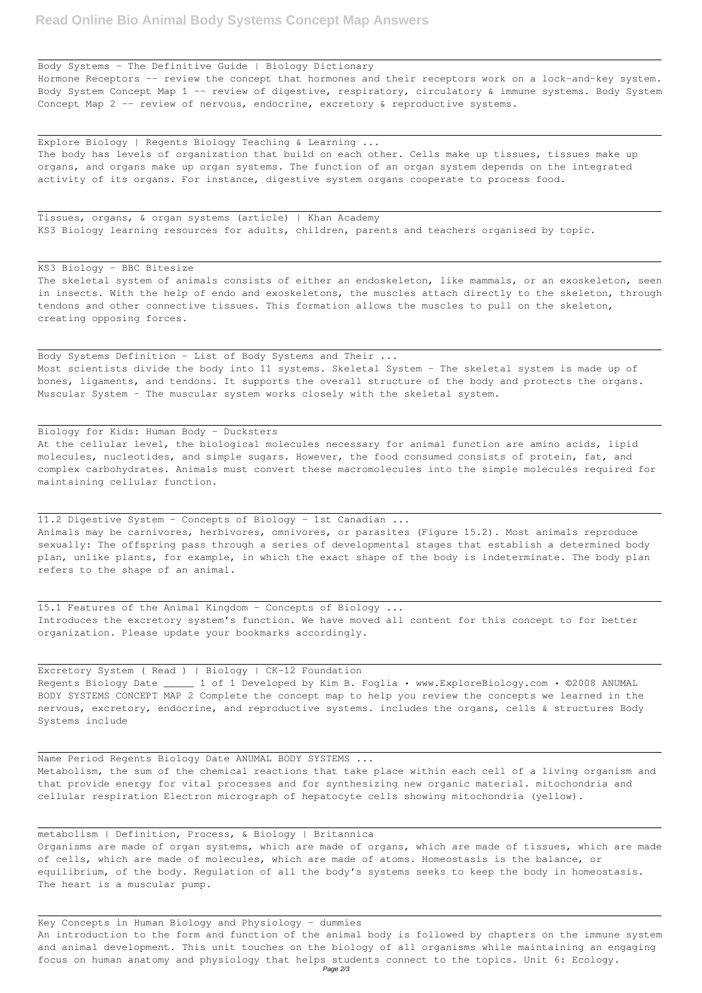Body Systems - The Definitive Guide | Biology Dictionary Hormone Receptors -- review the concept that hormones and their receptors work on a lock-and-key system. Body System Concept Map 1 -- review of digestive, respiratory, circulatory & immune systems. Body System Concept Map 2 -- review of nervous, endocrine, excretory & reproductive systems.

Explore Biology | Regents Biology Teaching & Learning ... The body has levels of organization that build on each other. Cells make up tissues, tissues make up organs, and organs make up organ systems. The function of an organ system depends on the integrated activity of its organs. For instance, digestive system organs cooperate to process food.

Body Systems Definition - List of Body Systems and Their ... Most scientists divide the body into 11 systems. Skeletal System - The skeletal system is made up of bones, ligaments, and tendons. It supports the overall structure of the body and protects the organs. Muscular System - The muscular system works closely with the skeletal system.

Tissues, organs, & organ systems (article) | Khan Academy KS3 Biology learning resources for adults, children, parents and teachers organised by topic.

## KS3 Biology - BBC Bitesize

The skeletal system of animals consists of either an endoskeleton, like mammals, or an exoskeleton, seen in insects. With the help of endo and exoskeletons, the muscles attach directly to the skeleton, through tendons and other connective tissues. This formation allows the muscles to pull on the skeleton, creating opposing forces.

Biology for Kids: Human Body - Ducksters

At the cellular level, the biological molecules necessary for animal function are amino acids, lipid molecules, nucleotides, and simple sugars. However, the food consumed consists of protein, fat, and complex carbohydrates. Animals must convert these macromolecules into the simple molecules required for maintaining cellular function.

11.2 Digestive System – Concepts of Biology – 1st Canadian ... Animals may be carnivores, herbivores, omnivores, or parasites (Figure 15.2). Most animals reproduce sexually: The offspring pass through a series of developmental stages that establish a determined body plan, unlike plants, for example, in which the exact shape of the body is indeterminate. The body plan refers to the shape of an animal.

15.1 Features of the Animal Kingdom - Concepts of Biology ... Introduces the excretory system's function. We have moved all content for this concept to for better organization. Please update your bookmarks accordingly.

Excretory System ( Read ) | Biology | CK-12 Foundation Regents Biology Date \_\_\_\_\_ 1 of 1 Developed by Kim B. Foglia • www.ExploreBiology.com • ©2008 ANUMAL BODY SYSTEMS CONCEPT MAP 2 Complete the concept map to help you review the concepts we learned in the nervous, excretory, endocrine, and reproductive systems. includes the organs, cells & structures Body Systems include

Name Period Regents Biology Date ANUMAL BODY SYSTEMS ...

Metabolism, the sum of the chemical reactions that take place within each cell of a living organism and that provide energy for vital processes and for synthesizing new organic material. mitochondria and cellular respiration Electron micrograph of hepatocyte cells showing mitochondria (yellow).

## metabolism | Definition, Process, & Biology | Britannica

Organisms are made of organ systems, which are made of organs, which are made of tissues, which are made of cells, which are made of molecules, which are made of atoms. Homeostasis is the balance, or equilibrium, of the body. Regulation of all the body's systems seeks to keep the body in homeostasis. The heart is a muscular pump.

Key Concepts in Human Biology and Physiology - dummies An introduction to the form and function of the animal body is followed by chapters on the immune system and animal development. This unit touches on the biology of all organisms while maintaining an engaging focus on human anatomy and physiology that helps students connect to the topics. Unit 6: Ecology. Page 2/3